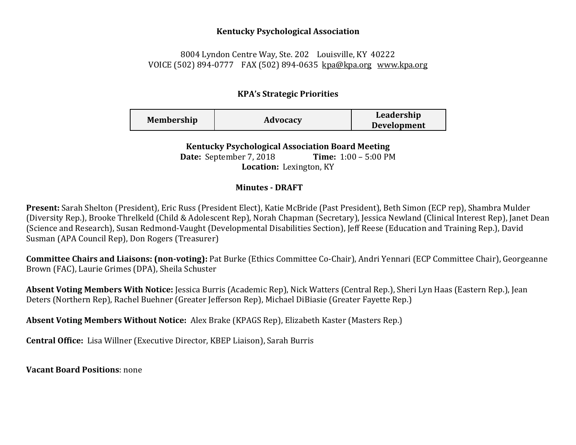## **Kentucky Psychological Association**

## 8004 Lyndon Centre Way, Ste. 202 Louisville, KY 40222 VOICE (502) 894-0777 FAX (502) 894-0635 [kpa@kpa.org](mailto:kpa@kih.net) [www.kpa.org](http://www.kpa.org/)

## **KPA's Strategic Priorities**

| Membership | Advocacy | Leadership<br><b>Development</b> |
|------------|----------|----------------------------------|
|            |          |                                  |

**Kentucky Psychological Association Board Meeting** 

**Date:** September 7, 2018 **Time:** 1:00 – 5:00 PM **Location:** Lexington, KY

## **Minutes - DRAFT**

**Present:** Sarah Shelton (President), Eric Russ (President Elect), Katie McBride (Past President), Beth Simon (ECP rep), Shambra Mulder (Diversity Rep.), Brooke Threlkeld (Child & Adolescent Rep), Norah Chapman (Secretary), Jessica Newland (Clinical Interest Rep), Janet Dean (Science and Research), Susan Redmond-Vaught (Developmental Disabilities Section), Jeff Reese (Education and Training Rep.), David Susman (APA Council Rep), Don Rogers (Treasurer)

**Committee Chairs and Liaisons: (non-voting):** Pat Burke (Ethics Committee Co-Chair), Andri Yennari (ECP Committee Chair), Georgeanne Brown (FAC), Laurie Grimes (DPA), Sheila Schuster

**Absent Voting Members With Notice:** Jessica Burris (Academic Rep), Nick Watters (Central Rep.), Sheri Lyn Haas (Eastern Rep.), Jean Deters (Northern Rep), Rachel Buehner (Greater Jefferson Rep), Michael DiBiasie (Greater Fayette Rep.)

**Absent Voting Members Without Notice:** Alex Brake (KPAGS Rep), Elizabeth Kaster (Masters Rep.)

**Central Office:** Lisa Willner (Executive Director, KBEP Liaison), Sarah Burris

**Vacant Board Positions**: none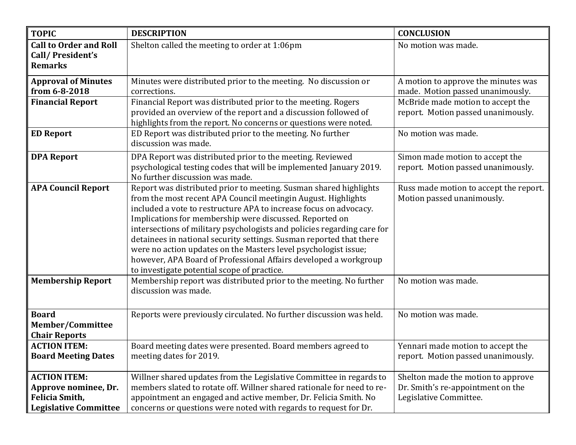| <b>TOPIC</b>                  | <b>DESCRIPTION</b>                                                                                                                     | <b>CONCLUSION</b>                      |
|-------------------------------|----------------------------------------------------------------------------------------------------------------------------------------|----------------------------------------|
| <b>Call to Order and Roll</b> | Shelton called the meeting to order at 1:06pm                                                                                          | No motion was made.                    |
| Call/President's              |                                                                                                                                        |                                        |
| <b>Remarks</b>                |                                                                                                                                        |                                        |
| <b>Approval of Minutes</b>    | Minutes were distributed prior to the meeting. No discussion or                                                                        | A motion to approve the minutes was    |
| from 6-8-2018                 | corrections.                                                                                                                           | made. Motion passed unanimously.       |
| <b>Financial Report</b>       | Financial Report was distributed prior to the meeting. Rogers                                                                          | McBride made motion to accept the      |
|                               | provided an overview of the report and a discussion followed of                                                                        | report. Motion passed unanimously.     |
|                               | highlights from the report. No concerns or questions were noted.                                                                       |                                        |
| <b>ED Report</b>              | ED Report was distributed prior to the meeting. No further                                                                             | No motion was made.                    |
|                               | discussion was made.                                                                                                                   |                                        |
| <b>DPA Report</b>             | DPA Report was distributed prior to the meeting. Reviewed                                                                              | Simon made motion to accept the        |
|                               | psychological testing codes that will be implemented January 2019.                                                                     | report. Motion passed unanimously.     |
|                               | No further discussion was made.                                                                                                        |                                        |
| <b>APA Council Report</b>     | Report was distributed prior to meeting. Susman shared highlights                                                                      | Russ made motion to accept the report. |
|                               | from the most recent APA Council meetingin August. Highlights                                                                          | Motion passed unanimously.             |
|                               | included a vote to restructure APA to increase focus on advocacy.                                                                      |                                        |
|                               | Implications for membership were discussed. Reported on                                                                                |                                        |
|                               | intersections of military psychologists and policies regarding care for                                                                |                                        |
|                               | detainees in national security settings. Susman reported that there<br>were no action updates on the Masters level psychologist issue; |                                        |
|                               | however, APA Board of Professional Affairs developed a workgroup                                                                       |                                        |
|                               | to investigate potential scope of practice.                                                                                            |                                        |
| <b>Membership Report</b>      | Membership report was distributed prior to the meeting. No further                                                                     | No motion was made.                    |
|                               | discussion was made.                                                                                                                   |                                        |
|                               |                                                                                                                                        |                                        |
| <b>Board</b>                  | Reports were previously circulated. No further discussion was held.                                                                    | No motion was made.                    |
| <b>Member/Committee</b>       |                                                                                                                                        |                                        |
| <b>Chair Reports</b>          |                                                                                                                                        |                                        |
| <b>ACTION ITEM:</b>           | Board meeting dates were presented. Board members agreed to                                                                            | Yennari made motion to accept the      |
| <b>Board Meeting Dates</b>    | meeting dates for 2019.                                                                                                                | report. Motion passed unanimously.     |
|                               |                                                                                                                                        |                                        |
| <b>ACTION ITEM:</b>           | Willner shared updates from the Legislative Committee in regards to                                                                    | Shelton made the motion to approve     |
| Approve nominee, Dr.          | members slated to rotate off. Willner shared rationale for need to re-                                                                 | Dr. Smith's re-appointment on the      |
| <b>Felicia Smith,</b>         | appointment an engaged and active member, Dr. Felicia Smith. No                                                                        | Legislative Committee.                 |
| <b>Legislative Committee</b>  | concerns or questions were noted with regards to request for Dr.                                                                       |                                        |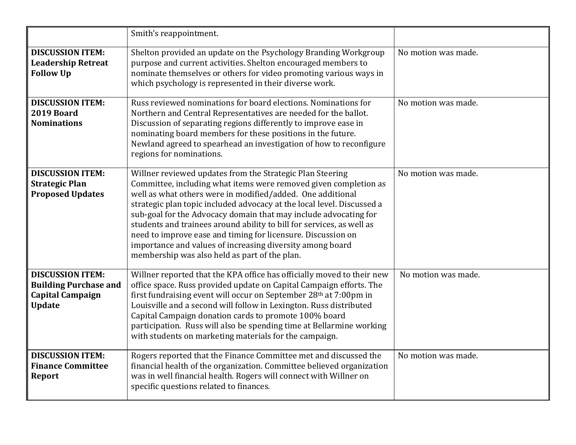|                                                                                                     | Smith's reappointment.                                                                                                                                                                                                                                                                                                                                                                                                                                                                                                                                                                           |                     |
|-----------------------------------------------------------------------------------------------------|--------------------------------------------------------------------------------------------------------------------------------------------------------------------------------------------------------------------------------------------------------------------------------------------------------------------------------------------------------------------------------------------------------------------------------------------------------------------------------------------------------------------------------------------------------------------------------------------------|---------------------|
| <b>DISCUSSION ITEM:</b><br><b>Leadership Retreat</b><br><b>Follow Up</b>                            | Shelton provided an update on the Psychology Branding Workgroup<br>purpose and current activities. Shelton encouraged members to<br>nominate themselves or others for video promoting various ways in<br>which psychology is represented in their diverse work.                                                                                                                                                                                                                                                                                                                                  | No motion was made. |
| <b>DISCUSSION ITEM:</b><br>2019 Board<br><b>Nominations</b>                                         | Russ reviewed nominations for board elections. Nominations for<br>Northern and Central Representatives are needed for the ballot.<br>Discussion of separating regions differently to improve ease in<br>nominating board members for these positions in the future.<br>Newland agreed to spearhead an investigation of how to reconfigure<br>regions for nominations.                                                                                                                                                                                                                            | No motion was made. |
| <b>DISCUSSION ITEM:</b><br><b>Strategic Plan</b><br><b>Proposed Updates</b>                         | Willner reviewed updates from the Strategic Plan Steering<br>Committee, including what items were removed given completion as<br>well as what others were in modified/added. One additional<br>strategic plan topic included advocacy at the local level. Discussed a<br>sub-goal for the Advocacy domain that may include advocating for<br>students and trainees around ability to bill for services, as well as<br>need to improve ease and timing for licensure. Discussion on<br>importance and values of increasing diversity among board<br>membership was also held as part of the plan. | No motion was made. |
| <b>DISCUSSION ITEM:</b><br><b>Building Purchase and</b><br><b>Capital Campaign</b><br><b>Update</b> | Willner reported that the KPA office has officially moved to their new<br>office space. Russ provided update on Capital Campaign efforts. The<br>first fundraising event will occur on September 28 <sup>th</sup> at 7:00pm in<br>Louisville and a second will follow in Lexington. Russ distributed<br>Capital Campaign donation cards to promote 100% board<br>participation. Russ will also be spending time at Bellarmine working<br>with students on marketing materials for the campaign.                                                                                                  | No motion was made. |
| <b>DISCUSSION ITEM:</b><br><b>Finance Committee</b><br><b>Report</b>                                | Rogers reported that the Finance Committee met and discussed the<br>financial health of the organization. Committee believed organization<br>was in well financial health. Rogers will connect with Willner on<br>specific questions related to finances.                                                                                                                                                                                                                                                                                                                                        | No motion was made. |